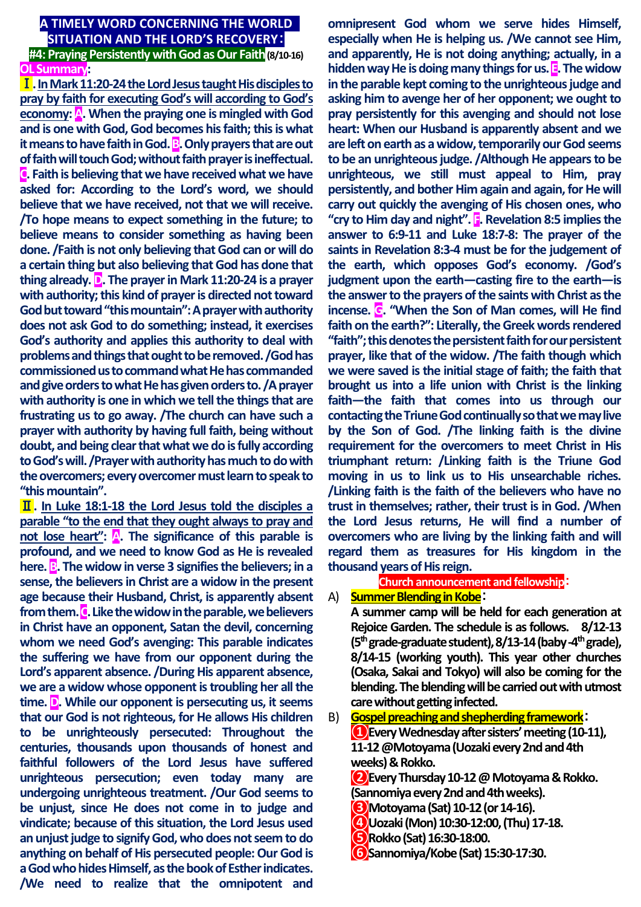## **A TIMELY WORD CONCERNING THE WORLD SITUATION AND THE LORD'S RECOVERY**:

**#4: Praying Persistently with God as Our Faith(8/10-16) OL Summary:**

Ⅰ**. In Mark 11:20-24 the Lord Jesus taught His disciples to pray by faith for executing God's will according to God's economy: A. When the praying one is mingled with God and is one with God, God becomes his faith; this is what it means to have faith in God. B. Only prayers that are out of faith will touch God; without faith prayer is ineffectual. C. Faith is believing that we have received what we have asked for: According to the Lord's word, we should believe that we have received, not that we will receive. /To hope means to expect something in the future; to believe means to consider something as having been done. /Faith is not only believing that God can or will do a certain thing but also believing that God has done that thing already. D. The prayer in Mark 11:20-24 is a prayer with authority; this kind of prayer is directed not toward God but toward "this mountain":A prayer with authority does not ask God to do something; instead, it exercises God's authority and applies this authority to deal with problems and things that ought to be removed. /God has commissioned us to command what He has commanded and give orders to what He has given orders to. /A prayer with authority is one in which we tell the things that are frustrating us to go away. /The church can have such a prayer with authority by having full faith, being without doubt, and being clear that what we do is fully according to God's will. /Prayer with authority has much to do with the overcomers; every overcomer must learn to speak to "this mountain".**

Ⅱ**. In Luke 18:1-18 the Lord Jesus told the disciples a parable "to the end that they ought always to pray and not lose heart": A. The significance of this parable is profound, and we need to know God as He is revealed here. B. The widow in verse 3 signifies the believers; in a sense, the believers in Christ are a widow in the present age because their Husband, Christ, is apparently absent from them. C. Like the widow in the parable, we believers in Christ have an opponent, Satan the devil, concerning whom we need God's avenging: This parable indicates the suffering we have from our opponent during the Lord's apparent absence. /During His apparent absence, we are a widow whose opponent is troubling her all the time. D. While our opponent is persecuting us, it seems that our God is not righteous, for He allows His children to be unrighteously persecuted: Throughout the centuries, thousands upon thousands of honest and faithful followers of the Lord Jesus have suffered unrighteous persecution; even today many are undergoing unrighteous treatment. /Our God seems to be unjust, since He does not come in to judge and vindicate; because of this situation, the Lord Jesus used an unjust judge to signify God, who does not seem to do**  anything on behalf of His persecuted people: Our God is **a God who hides Himself, as the book of Esther indicates. /We need to realize that the omnipotent and** 

**omnipresent God whom we serve hides Himself, especially when He is helping us. /We cannot see Him, and apparently, He is not doing anything; actually, in a hidden way He is doing many things for us. E. The widow in the parable kept coming to the unrighteous judge and asking him to avenge her of her opponent; we ought to pray persistently for this avenging and should not lose heart: When our Husband is apparently absent and we are left on earth as a widow, temporarily our God seems to be an unrighteous judge. /Although He appears to be unrighteous, we still must appeal to Him, pray persistently, and bother Him again and again, for He will carry out quickly the avenging of His chosen ones, who "cry to Him day and night". F. Revelation 8:5 implies the answer to 6:9-11 and Luke 18:7-8: The prayer of the saints in Revelation 8:3-4 must be for the judgement of the earth, which opposes God's economy. /God's judgment upon the earth—casting fire to the earth—is the answer to the prayers of the saints with Christ as the incense. G. "When the Son of Man comes, will He find faith on the earth?": Literally, the Greek words rendered "faith"; this denotes the persistent faith for our persistent prayer, like that of the widow. /The faith though which we were saved is the initial stage of faith; the faith that brought us into a life union with Christ is the linking faith—the faith that comes into us through our contacting the Triune God continually so that we may live by the Son of God. /The linking faith is the divine requirement for the overcomers to meet Christ in His triumphant return: /Linking faith is the Triune God moving in us to link us to His unsearchable riches. /Linking faith is the faith of the believers who have no trust in themselves; rather, their trust is in God. /When the Lord Jesus returns, He will find a number of overcomers who are living by the linking faith and will regard them as treasures for His kingdom in the thousand years of His reign.**

**Church announcement and fellowship**:

A) **Summer Blending in Kobe**:

**A summer camp will be held for each generation at Rejoice Garden. The schedule is as follows. 8/12-13 (5thgrade-graduate student), 8/13-14 (baby -4 thgrade), 8/14-15 (working youth). This year other churches (Osaka, Sakai and Tokyo) will also be coming for the blending. The blending will be carried out with utmost care without getting infected.**

B) **Gospel preaching and shepherding framework**:

**①Every Wednesday after sisters' meeting(10-11), 11-12 @Motoyama (Uozaki every 2nd and 4th weeks) & Rokko.**

**②Every Thursday 10-12 @ Motoyama & Rokko. (Sannomiya every2nd and 4th weeks).**

- **③Motoyama (Sat) 10-12 (or 14-16).**
- **④Uozaki (Mon) 10:30-12:00, (Thu) 17-18.**
- **⑤Rokko (Sat) 16:30-18:00.**
- **⑥Sannomiya/Kobe (Sat)15:30-17:30.**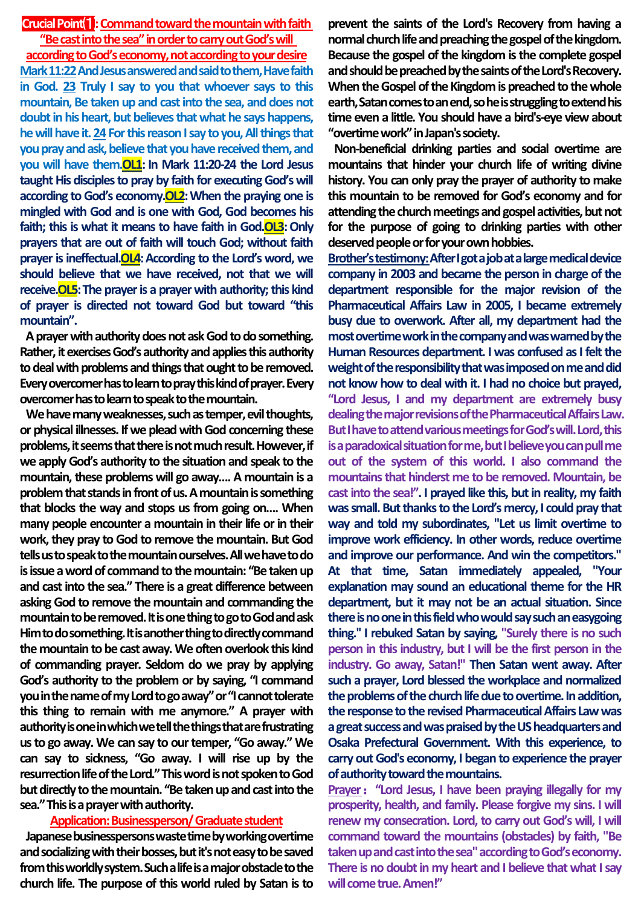# **Crucial Point**⑴**: Command toward the mountain with faith**

**"Be cast into the sea"in order to carry outGod's will according to God's economy, not according to your desire Mark 11:22And Jesus answered and said to them, Have faith in God. 23 Truly I say to you that whoever says to this mountain, Be taken up and cast into the sea, and does not doubt in his heart, but believes that what he says happens,**  he will have it. 24 For this reason I say to you, All things that **you pray and ask, believe that you have received them, and you will have them.OL1: In Mark 11:20-24 the Lord Jesus taught His disciples to pray by faith for executing God's will according to God's economy.OL2:When the praying one is mingled with God and is one with God, God becomes his**  faith; this is what it means to have faith in God. OL3: Only **prayers that are out of faith will touch God; without faith prayer is ineffectual.OL4:According to the Lord's word, we should believe that we have received, not that we will receive.OL5:The prayer is a prayer with authority; this kind of prayer is directed not toward God but toward "this mountain".**

**A prayer with authority does not ask God to do something. Rather, it exercises God's authority and applies this authority to deal with problems and things that ought to be removed. Every overcomer has to learn to pray this kind of prayer. Every overcomer has to learn to speak to the mountain.**

**We have many weaknesses, such as temper, evil thoughts, or physical illnesses. If we plead with God concerning these problems, it seems that there is not much result. However, if we apply God's authority to the situation and speak to the mountain, these problems will go away…. A mountain is a problem that stands in front of us. A mountain is something that blocks the way and stops us from going on…. When many people encounter a mountain in their life or in their work, they pray to God to remove the mountain. But God tells us to speak to the mountain ourselves. All we have to do is issue a word of command to the mountain: "Be taken up and cast into the sea." There is a great difference between asking God to remove the mountain and commanding the mountain to be removed. It is one thing to go to God and ask Him to do something. It is another thing to directlycommand the mountain to be cast away. We often overlook this kind of commanding prayer. Seldom do we pray by applying God's authority to the problem or by saying, "I command you in the name of my Lord to go away" or "I cannot tolerate this thing to remain with me anymore." A prayer with authority is one in which we tell the things that are frustrating us to go away. We can say to our temper, "Go away." We can say to sickness, "Go away. I will rise up by the resurrection life of the Lord." This word is not spoken to God but directly to the mountain. "Be taken up and cast into the sea." This is a prayer with authority.**

#### **Application: Businessperson/ Graduate student**

**Japanese businesspersonswaste time by working overtime and socializing with their bosses, but it's not easy to be saved from this worldly system. Such a life is a major obstacle to the church life. The purpose of this world ruled by Satan is to** 

**prevent the saints of the Lord's Recovery from having a**  normal church life and preaching the gospel of the kingdom. **Because the gospel of the kingdom is the complete gospel and should be preached by the saints of the Lord's Recovery. When the Gospel of the Kingdom is preached to the whole earth, Satan comes to an end, sohe is struggling to extend his time even a little. You should have a bird's-eye view about "overtimework"in Japan's society.**

**Non-beneficial drinking parties and social overtime are mountains that hinder your church life of writing divine history. You can only pray the prayer of authority to make this mountain to be removed for God's economy and for attending the church meetings and gospel activities, but not for the purpose of going to drinking parties with other deserved people or for your own hobbies.**

**Brother's testimony: After I got a job at a large medical device company in 2003 and became the person in charge of the department responsible for the major revision of the Pharmaceutical Affairs Law in 2005, I became extremely busy due to overwork. After all, my department had the most overtime work in the company and was warned by the Human Resources department. I was confused as I felt the weight of the responsibility that was imposed on me and did not know how to deal with it. I had no choice but prayed, "Lord Jesus, I and my department are extremely busy dealing the major revisions of the Pharmaceutical Affairs Law. But I have to attend various meetings for God's will. Lord, this is a paradoxical situation for me, but I believe you can pull me out of the system of this world. I also command the mountains that hinderst me to be removed. Mountain, be cast into the sea!". I prayed like this, but in reality, my faith was small. But thanks to the Lord's mercy, I could pray that way and told my subordinates, "Let us limit overtime to improve work efficiency. In other words, reduce overtime and improve our performance. And win the competitors." At that time, Satan immediately appealed, "Your explanation may sound an educational theme for the HR department, but it may not be an actual situation. Since**  there is no one in this field who would say such an easygoing **thing.'' I rebuked Satan by saying, "Surely there is no such person in this industry, but I will be the first person in the industry. Go away, Satan!" Then Satan went away. After such a prayer, Lord blessed the workplace and normalized the problems of the church life due to overtime. In addition, the response to the revised Pharmaceutical Affairs Law was a great success and was praised by the US headquarters and Osaka Prefectural Government. With this experience, to carry out God's economy, I began to experience the prayer of authority toward the mountains.**

**Prayer**:**"Lord Jesus, I have been praying illegally for my prosperity, health, and family. Please forgive my sins. I will renew my consecration. Lord, to carry out God's will, I will command toward the mountains (obstacles) by faith, "Be taken up and cast into the sea"according to God's economy.**  There is no doubt in my heart and I believe that what I say **will come true. Amen!"**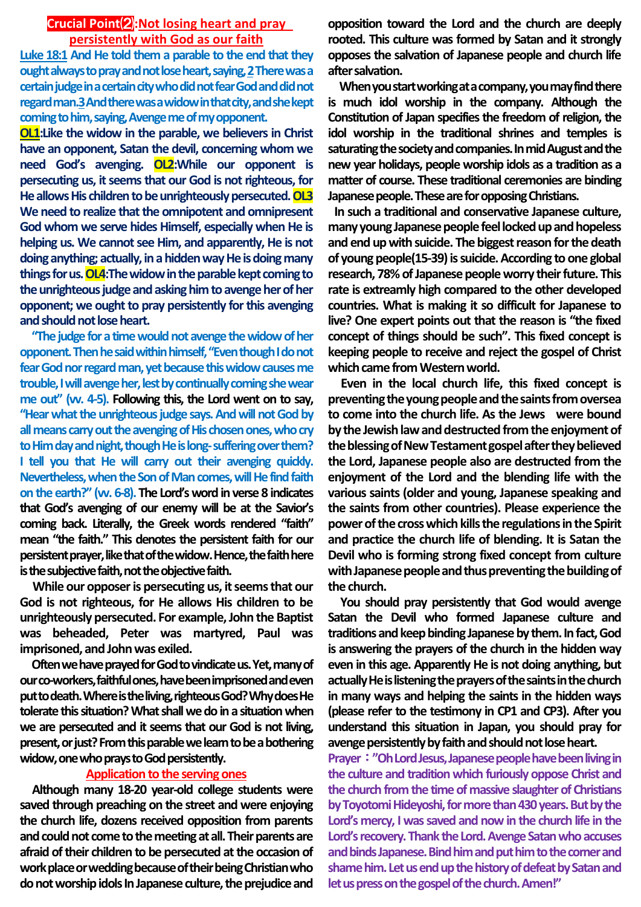#### **Crucial Point**⑵**:Not losing heart and pray persistently with God as our faith**

**Luke 18:1 And He told them a parable to the end that they ought always to pray and not lose heart, saying, 2There was a certain judge in a certain city who did not fear God and did not regard man.3And there was a widow in that city, and she kept coming to him, saying, Avenge me of my opponent.**

**OL1:Like the widow in the parable, we believers in Christ have an opponent, Satan the devil, concerning whom we need God's avenging. OL2:While our opponent is persecuting us, it seems that our God is not righteous, for He allows His children to be unrighteously persecuted. OL3 We need to realize that the omnipotent and omnipresent God whom we serve hides Himself, especially when He is helping us. We cannot see Him, and apparently, He is not doing anything; actually, in a hidden way He is doing many things for us. OL4:The widow in the parable kept coming to the unrighteous judge and asking him to avenge her of her opponent; we ought to pray persistently for this avenging and should not lose heart.** 

**"The judge for a time would not avenge the widow of her opponent. Then he said within himself, "Even though I do not fear God nor regard man, yet because this widow causes me trouble, I will avenge her, lest by continually coming she wear me out" (vv. 4-5). Following this, the Lord went on to say, "Hear what the unrighteous judge says. And will not God by all means carry out the avenging of His chosen ones, who cry to Him day and night, though He is long-suffering over them? I tell you that He will carry out their avenging quickly. Nevertheless, when the Son of Man comes, will He find faith on the earth?" (vv. 6-8). The Lord's word in verse 8 indicates that God's avenging of our enemy will be at the Savior's coming back. Literally, the Greek words rendered "faith" mean "the faith." This denotes the persistent faith for our persistent prayer, like that of the widow. Hence, the faith here is the subjective faith, not the objective faith.**

**While our opposer is persecuting us, it seems that our God is not righteous, for He allows His children to be unrighteously persecuted. For example, John the Baptist was beheaded, Peter was martyred, Paul was imprisoned, and John was exiled.** 

**Often we have prayed for God to vindicate us. Yet, many of our co-workers, faithful ones, have been imprisoned and even put to death. Where is the living, righteous God? Why does He tolerate this situation? What shall we do in a situation when we are persecuted and it seems that our God is not living, present, or just? From this parable we learn to be a bothering widow, one who prays to God persistently.**

### **Application to the serving ones**

**Although many 18-20 year-old college students were saved through preaching on the street and were enjoying the church life, dozens received opposition from parents and could not come to the meeting at all. Their parents are afraid of their children to be persecuted at the occasion of work place or wedding because of their being Christian who do not worship idols In Japanese culture, the prejudice and** 

**opposition toward the Lord and the church are deeply rooted. This culture was formed by Satan and it strongly opposes the salvation of Japanese people and church life after salvation.** 

**When you start working at a company, you may find there is much idol worship in the company. Although the Constitution of Japan specifies the freedom of religion, the idol worship in the traditional shrines and temples is saturating the society and companies. In mid August and the new year holidays, people worship idols as a tradition as a matter of course. These traditional ceremonies are binding Japanese people. These are for opposing Christians.**

**In such a traditional and conservative Japanese culture, many young Japanese people feel locked up and hopeless and end up with suicide. The biggest reason for the death of young people(15-39) is suicide. According to one global research, 78% of Japanese people worry their future. This rate is extreamly high compared to the other developed countries. What is making it so difficult for Japanese to live? One expert points out that the reason is "the fixed concept of things should be such". This fixed concept is keeping people to receive and reject the gospel of Christ which came fromWestern world.** 

**Even in the local church life, this fixed concept is preventing the young people and the saints from oversea to come into the church life. As the Jews were bound by the Jewish law and destructed from the enjoyment of the blessing of New Testamentgospel after they believed the Lord, Japanese people also are destructed from the enjoyment of the Lord and the blending life with the various saints (older and young, Japanese speaking and the saints from other countries). Please experience the power of the cross which kills the regulations in the Spirit and practice the church life of blending. It is Satan the Devil who is forming strong fixed concept from culture**  with Japanese people and thus preventing the building of **the church.** 

**You should pray persistently that God would avenge Satan the Devil who formed Japanese culture and traditions and keep binding Japanese by them. In fact, God is answering the prayers of the church in the hidden way even in this age. Apparently He is not doing anything, but actually He is listening the prayers of the saints in the church in many ways and helping the saints in the hidden ways (please refer to the testimony in CP1 and CP3). After you understand this situation in Japan, you should pray for avenge persistently by faith and should not lose heart.** 

**Prayer**:**"Oh Lord Jesus, Japanese people have been living in the culture and tradition which furiously oppose Christ and the church from the time of massive slaughter of Christians by Toyotomi Hideyoshi, for more than 430 years. But by the Lord's mercy, I was saved and now in the church life in the Lord's recovery. Thank the Lord. Avenge Satan who accuses and binds Japanese. Bind him and put him to the corner and shame him. Let us end up the history of defeat by Satan and let us press on the gospel of the church. Amen!"**